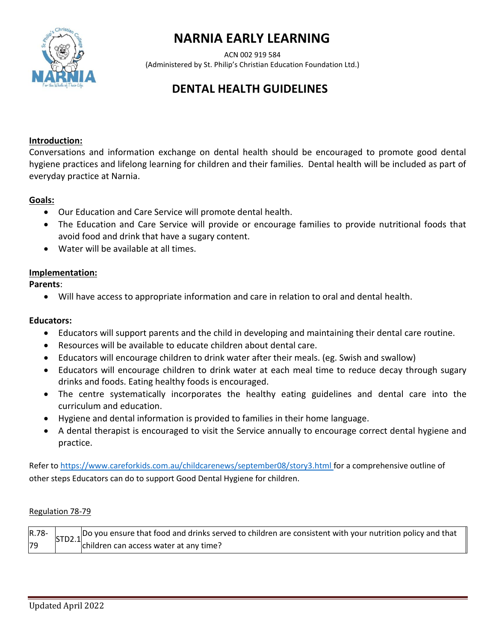

# **NARNIA EARLY LEARNING**

 ACN 002 919 584 (Administered by St. Philip's Christian Education Foundation Ltd.)

## **DENTAL HEALTH GUIDELINES**

#### **Introduction:**

Conversations and information exchange on dental health should be encouraged to promote good dental hygiene practices and lifelong learning for children and their families. Dental health will be included as part of everyday practice at Narnia.

### **Goals:**

- Our Education and Care Service will promote dental health.
- The Education and Care Service will provide or encourage families to provide nutritional foods that avoid food and drink that have a sugary content.
- Water will be available at all times.

### **Implementation:**

**Parents**:

• Will have access to appropriate information and care in relation to oral and dental health.

#### **Educators:**

- Educators will support parents and the child in developing and maintaining their dental care routine.
- Resources will be available to educate children about dental care.
- Educators will encourage children to drink water after their meals. (eg. Swish and swallow)
- Educators will encourage children to drink water at each meal time to reduce decay through sugary drinks and foods. Eating healthy foods is encouraged.
- The centre systematically incorporates the healthy eating guidelines and dental care into the curriculum and education.
- Hygiene and dental information is provided to families in their home language.
- A dental therapist is encouraged to visit the Service annually to encourage correct dental hygiene and practice.

Refer t[o https://www.careforkids.com.au/childcarenews/september08/story3.html](https://www.careforkids.com.au/childcarenews/september08/story3.html) for a comprehensive outline of other steps Educators can do to support Good Dental Hygiene for children.

#### Regulation 78-79

|  |  | $\begin{bmatrix} R.78 \\ SD2.1 \end{bmatrix}$ Do you ensure that food and drinks served to children are consistent with your nutrition policy and that $\begin{bmatrix} 79 \\ 29 \end{bmatrix}$ children can access water at any time? |
|--|--|----------------------------------------------------------------------------------------------------------------------------------------------------------------------------------------------------------------------------------------|
|  |  |                                                                                                                                                                                                                                        |